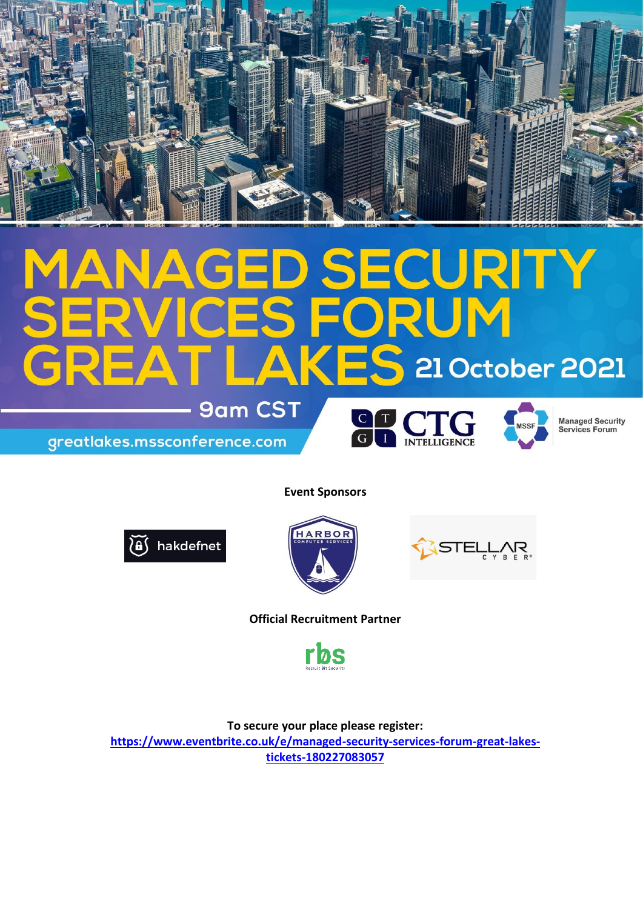

## **GED SECURITY<br>CES FORUM**  $\Delta$ AKES 21 October 2021 **9am CST**

greatlakes.mssconference.com





**Managed Security** Services Forum

**Event Sponsors**







**Official Recruitment Partner**



**To secure your place please register:** 

**[https://www.eventbrite.co.uk/e/managed-security-services-forum-great-lakes](https://www.eventbrite.co.uk/e/managed-security-services-forum-great-lakes-tickets-180227083057)[tickets-180227083057](https://www.eventbrite.co.uk/e/managed-security-services-forum-great-lakes-tickets-180227083057)**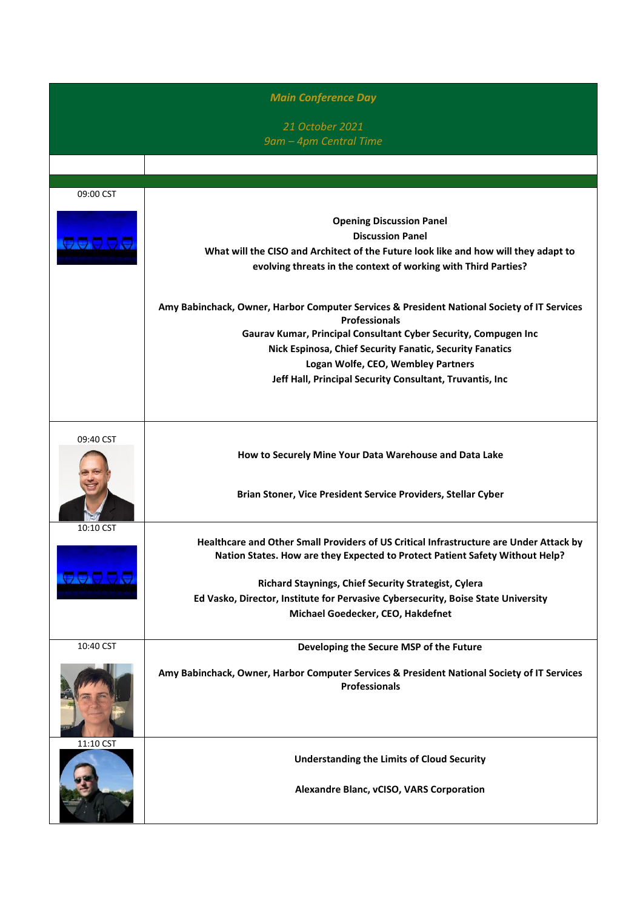| <b>Main Conference Day</b> |                                                                                             |  |
|----------------------------|---------------------------------------------------------------------------------------------|--|
|                            | 21 October 2021                                                                             |  |
|                            | 9am - 4pm Central Time                                                                      |  |
|                            |                                                                                             |  |
|                            |                                                                                             |  |
| 09:00 CST                  |                                                                                             |  |
|                            |                                                                                             |  |
|                            | <b>Opening Discussion Panel</b>                                                             |  |
| <b>AAAAA</b>               | <b>Discussion Panel</b>                                                                     |  |
|                            | What will the CISO and Architect of the Future look like and how will they adapt to         |  |
|                            | evolving threats in the context of working with Third Parties?                              |  |
|                            |                                                                                             |  |
|                            | Amy Babinchack, Owner, Harbor Computer Services & President National Society of IT Services |  |
|                            | <b>Professionals</b><br>Gaurav Kumar, Principal Consultant Cyber Security, Compugen Inc     |  |
|                            | Nick Espinosa, Chief Security Fanatic, Security Fanatics                                    |  |
|                            | Logan Wolfe, CEO, Wembley Partners                                                          |  |
|                            | Jeff Hall, Principal Security Consultant, Truvantis, Inc                                    |  |
|                            |                                                                                             |  |
| 09:40 CST                  |                                                                                             |  |
|                            | How to Securely Mine Your Data Warehouse and Data Lake                                      |  |
|                            |                                                                                             |  |
|                            |                                                                                             |  |
|                            | Brian Stoner, Vice President Service Providers, Stellar Cyber                               |  |
|                            |                                                                                             |  |
| 10:10 CST                  | Healthcare and Other Small Providers of US Critical Infrastructure are Under Attack by      |  |
|                            | Nation States. How are they Expected to Protect Patient Safety Without Help?                |  |
|                            |                                                                                             |  |
| <b>BOODD</b>               | Richard Staynings, Chief Security Strategist, Cylera                                        |  |
|                            | Ed Vasko, Director, Institute for Pervasive Cybersecurity, Boise State University           |  |
|                            | Michael Goedecker, CEO, Hakdefnet                                                           |  |
| 10:40 CST                  | Developing the Secure MSP of the Future                                                     |  |
|                            |                                                                                             |  |
|                            | Amy Babinchack, Owner, Harbor Computer Services & President National Society of IT Services |  |
|                            | <b>Professionals</b>                                                                        |  |
|                            |                                                                                             |  |
|                            |                                                                                             |  |
| 11:10 CST                  |                                                                                             |  |
|                            | <b>Understanding the Limits of Cloud Security</b>                                           |  |
|                            |                                                                                             |  |
|                            | Alexandre Blanc, vCISO, VARS Corporation                                                    |  |
|                            |                                                                                             |  |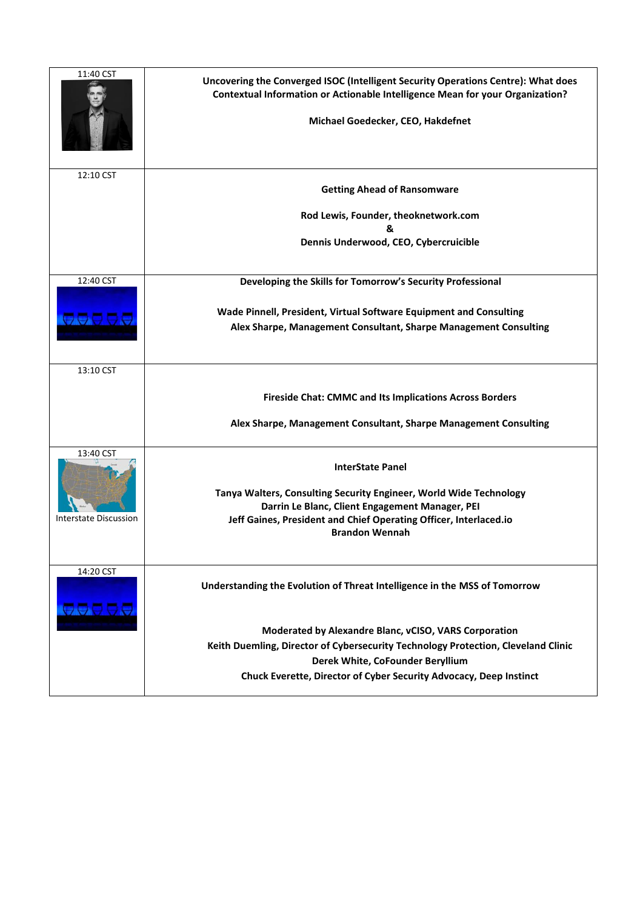| 11:40 CST<br>12:10 CST        | Uncovering the Converged ISOC (Intelligent Security Operations Centre): What does<br>Contextual Information or Actionable Intelligence Mean for your Organization?<br>Michael Goedecker, CEO, Hakdefnet<br><b>Getting Ahead of Ransomware</b><br>Rod Lewis, Founder, theoknetwork.com<br>&<br>Dennis Underwood, CEO, Cybercruicible |
|-------------------------------|-------------------------------------------------------------------------------------------------------------------------------------------------------------------------------------------------------------------------------------------------------------------------------------------------------------------------------------|
|                               |                                                                                                                                                                                                                                                                                                                                     |
| 12:40 CST<br><del>aaaaa</del> | Developing the Skills for Tomorrow's Security Professional<br>Wade Pinnell, President, Virtual Software Equipment and Consulting<br>Alex Sharpe, Management Consultant, Sharpe Management Consulting                                                                                                                                |
| 13:10 CST                     |                                                                                                                                                                                                                                                                                                                                     |
|                               | <b>Fireside Chat: CMMC and Its Implications Across Borders</b>                                                                                                                                                                                                                                                                      |
|                               | Alex Sharpe, Management Consultant, Sharpe Management Consulting                                                                                                                                                                                                                                                                    |
| 13:40 CST                     | <b>InterState Panel</b>                                                                                                                                                                                                                                                                                                             |
|                               | Tanya Walters, Consulting Security Engineer, World Wide Technology<br>Darrin Le Blanc, Client Engagement Manager, PEI                                                                                                                                                                                                               |
| Interstate Discussion         | Jeff Gaines, President and Chief Operating Officer, Interlaced.io<br><b>Brandon Wennah</b>                                                                                                                                                                                                                                          |
| 14:20 CST<br><b>OOOOO</b>     | Understanding the Evolution of Threat Intelligence in the MSS of Tomorrow                                                                                                                                                                                                                                                           |
|                               | Moderated by Alexandre Blanc, vCISO, VARS Corporation                                                                                                                                                                                                                                                                               |
|                               | Keith Duemling, Director of Cybersecurity Technology Protection, Cleveland Clinic<br>Derek White, CoFounder Beryllium                                                                                                                                                                                                               |
|                               | Chuck Everette, Director of Cyber Security Advocacy, Deep Instinct                                                                                                                                                                                                                                                                  |